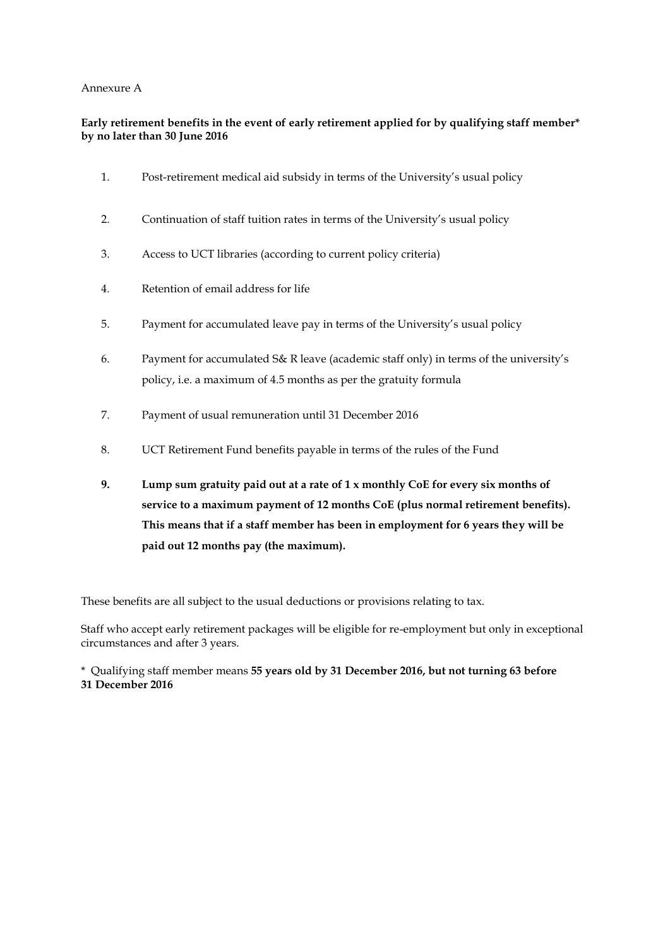## Annexure A

## **Early retirement benefits in the event of early retirement applied for by qualifying staff member\* by no later than 30 June 2016**

- 1. Post-retirement medical aid subsidy in terms of the University's usual policy
- 2. Continuation of staff tuition rates in terms of the University's usual policy
- 3. Access to UCT libraries (according to current policy criteria)
- 4. Retention of email address for life
- 5. Payment for accumulated leave pay in terms of the University's usual policy
- 6. Payment for accumulated S& R leave (academic staff only) in terms of the university's policy, i.e. a maximum of 4.5 months as per the gratuity formula
- 7. Payment of usual remuneration until 31 December 2016
- 8. UCT Retirement Fund benefits payable in terms of the rules of the Fund
- **9. Lump sum gratuity paid out at a rate of 1 x monthly CoE for every six months of service to a maximum payment of 12 months CoE (plus normal retirement benefits). This means that if a staff member has been in employment for 6 years they will be paid out 12 months pay (the maximum).**

These benefits are all subject to the usual deductions or provisions relating to tax.

Staff who accept early retirement packages will be eligible for re-employment but only in exceptional circumstances and after 3 years.

\* Qualifying staff member means **55 years old by 31 December 2016, but not turning 63 before 31 December 2016**